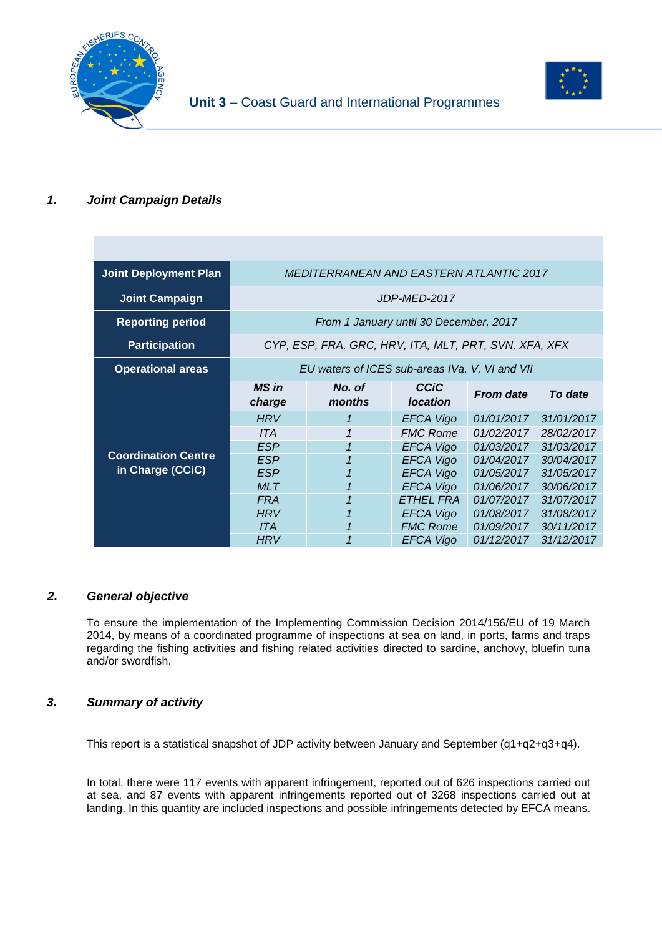

# **Unit 3** – Coast Guard and International Programmes

## *1. Joint Campaign Details*

| <b>Joint Deployment Plan</b> | <i>MEDITERRANEAN AND EASTERN ATLANTIC 2017</i> |                                                       |                  |                  |            |
|------------------------------|------------------------------------------------|-------------------------------------------------------|------------------|------------------|------------|
| <b>Joint Campaign</b>        | JDP-MED-2017                                   |                                                       |                  |                  |            |
| <b>Reporting period</b>      | From 1 January until 30 December, 2017         |                                                       |                  |                  |            |
| <b>Participation</b>         |                                                | CYP, ESP, FRA, GRC, HRV, ITA, MLT, PRT, SVN, XFA, XFX |                  |                  |            |
| <b>Operational areas</b>     | EU waters of ICES sub-areas IVa, V, VI and VII |                                                       |                  |                  |            |
|                              | <b>MS</b> in                                   | No. of                                                | CCIC             | <b>From date</b> | To date    |
|                              | charge                                         | months                                                | <b>location</b>  |                  |            |
|                              | <b>HRV</b>                                     | 1                                                     | <b>EFCA Vigo</b> | 01/01/2017       | 31/01/2017 |
|                              | <b>ITA</b>                                     | 1                                                     | <b>FMC Rome</b>  | 01/02/2017       | 28/02/2017 |
|                              | <b>ESP</b>                                     |                                                       | <b>EFCA Vigo</b> | 01/03/2017       | 31/03/2017 |
| <b>Coordination Centre</b>   | <b>ESP</b>                                     |                                                       | <b>EFCA Vigo</b> | 01/04/2017       | 30/04/2017 |
| in Charge (CCiC)             | <b>ESP</b>                                     | $\mathbf{1}$                                          | <b>EFCA Vigo</b> | 01/05/2017       | 31/05/2017 |
|                              | <b>MLT</b>                                     |                                                       | <b>EFCA Vigo</b> | 01/06/2017       | 30/06/2017 |
|                              | <b>FRA</b>                                     | 1                                                     | <b>ETHEL FRA</b> | 01/07/2017       | 31/07/2017 |
|                              | <b>HRV</b>                                     | $\overline{1}$                                        | <b>EFCA Vigo</b> | 01/08/2017       | 31/08/2017 |
|                              | <b>ITA</b>                                     |                                                       | <b>FMC Rome</b>  | 01/09/2017       | 30/11/2017 |

#### *2. General objective*

To ensure the implementation of the Implementing Commission Decision 2014/156/EU of 19 March 2014, by means of a coordinated programme of inspections at sea on land, in ports, farms and traps regarding the fishing activities and fishing related activities directed to sardine, anchovy, bluefin tuna and/or swordfish.

#### *3. Summary of activity*

This report is a statistical snapshot of JDP activity between January and September (q1+q2+q3+q4).

In total, there were 117 events with apparent infringement, reported out of 626 inspections carried out at sea, and 87 events with apparent infringements reported out of 3268 inspections carried out at landing. In this quantity are included inspections and possible infringements detected by EFCA means.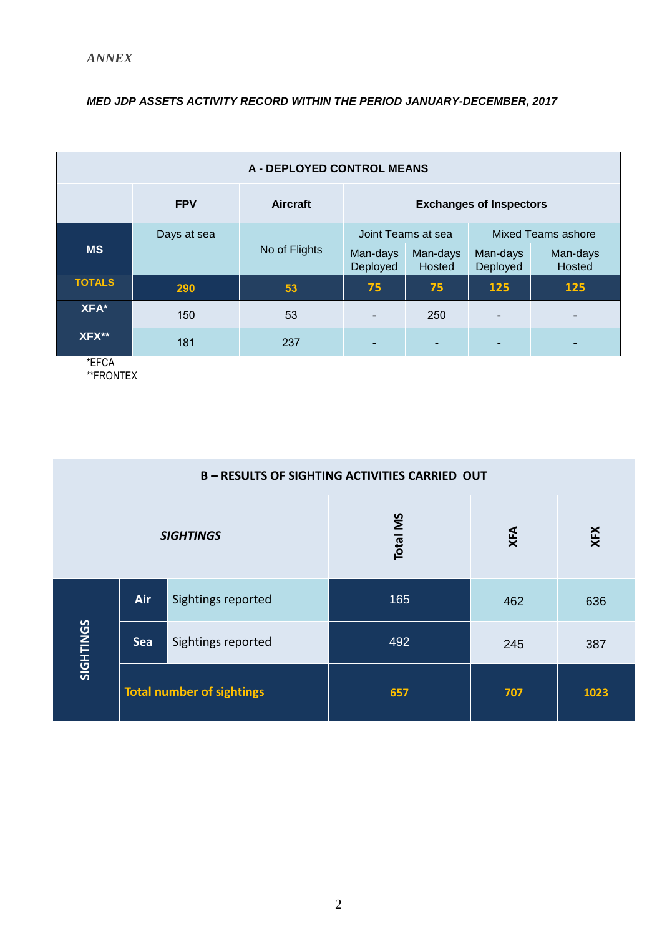### *MED JDP ASSETS ACTIVITY RECORD WITHIN THE PERIOD JANUARY-DECEMBER, 2017*

| <b>A - DEPLOYED CONTROL MEANS</b> |             |                 |                                |                    |                           |                    |
|-----------------------------------|-------------|-----------------|--------------------------------|--------------------|---------------------------|--------------------|
|                                   | <b>FPV</b>  | <b>Aircraft</b> | <b>Exchanges of Inspectors</b> |                    |                           |                    |
|                                   | Days at sea |                 | Joint Teams at sea             |                    | <b>Mixed Teams ashore</b> |                    |
| <b>MS</b>                         |             | No of Flights   | Man-days<br>Deployed           | Man-days<br>Hosted | Man-days<br>Deployed      | Man-days<br>Hosted |
| <b>TOTALS</b>                     | 290         | 53              | 75                             | 75                 | 125                       | 125                |
| XFA*                              | 150         | 53              |                                | 250                | $\blacksquare$            |                    |
| XFX**<br>$+$ $   +$               | 181         | 237             |                                |                    | ۰                         |                    |

\*EFCA \*\*FRONTEX

| <b>B-RESULTS OF SIGHTING ACTIVITIES CARRIED OUT</b> |                                  |                    |                 |     |      |  |
|-----------------------------------------------------|----------------------------------|--------------------|-----------------|-----|------|--|
| <b>SIGHTINGS</b>                                    |                                  |                    | <b>Total MS</b> | XFA | XFX  |  |
|                                                     | Air                              | Sightings reported | 165             | 462 | 636  |  |
| SIGHTINGS                                           | Sea                              | Sightings reported | 492             | 245 | 387  |  |
|                                                     | <b>Total number of sightings</b> |                    | 657             | 707 | 1023 |  |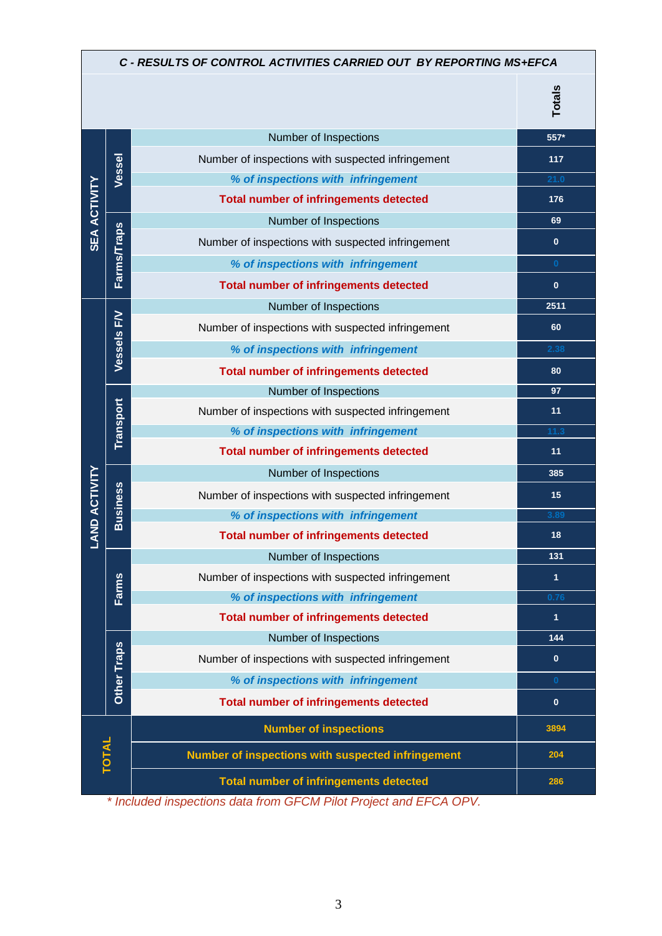| C - RESULTS OF CONTROL ACTIVITIES CARRIED OUT BY REPORTING MS+EFCA |                    |                                                   |               |  |
|--------------------------------------------------------------------|--------------------|---------------------------------------------------|---------------|--|
|                                                                    |                    |                                                   | <b>Totals</b> |  |
|                                                                    |                    | Number of Inspections                             | 557*          |  |
|                                                                    | Vessel             | Number of inspections with suspected infringement | 117           |  |
|                                                                    |                    | % of inspections with infringement                | 21.0          |  |
| <b>SEA ACTIVITY</b>                                                |                    | <b>Total number of infringements detected</b>     | 176           |  |
|                                                                    |                    | Number of Inspections                             | 69            |  |
|                                                                    | <b>Farms/Traps</b> | Number of inspections with suspected infringement | $\mathbf{0}$  |  |
|                                                                    |                    | % of inspections with infringement                | $\mathbf{0}$  |  |
|                                                                    |                    | <b>Total number of infringements detected</b>     | $\mathbf{0}$  |  |
|                                                                    |                    | Number of Inspections                             | 2511          |  |
|                                                                    |                    | Number of inspections with suspected infringement | 60            |  |
|                                                                    | Vessels FV         | % of inspections with infringement                | 2.38          |  |
|                                                                    |                    | <b>Total number of infringements detected</b>     | 80            |  |
|                                                                    |                    | Number of Inspections                             | 97            |  |
|                                                                    | Transport          | Number of inspections with suspected infringement | 11            |  |
|                                                                    |                    | % of inspections with infringement                | 11.3          |  |
|                                                                    |                    | <b>Total number of infringements detected</b>     | 11            |  |
|                                                                    |                    | Number of Inspections                             | 385           |  |
| <b>LAND ACTIVITY</b>                                               | <b>Business</b>    | Number of inspections with suspected infringement | 15            |  |
|                                                                    |                    | % of inspections with infringement                | 3.89          |  |
|                                                                    |                    | <b>Total number of infringements detected</b>     | 18            |  |
|                                                                    |                    | Number of Inspections                             | 131           |  |
|                                                                    | <b>Farms</b>       | Number of inspections with suspected infringement | $\mathbf{1}$  |  |
|                                                                    |                    | % of inspections with infringement                | 0.76          |  |
|                                                                    |                    | <b>Total number of infringements detected</b>     | $\mathbf{1}$  |  |
|                                                                    |                    | Number of Inspections                             | 144           |  |
|                                                                    | Other Traps        | Number of inspections with suspected infringement | $\mathbf{0}$  |  |
|                                                                    |                    | % of inspections with infringement                | $\bf{0}$      |  |
|                                                                    |                    | <b>Total number of infringements detected</b>     | $\mathbf{0}$  |  |
|                                                                    |                    | <b>Number of inspections</b>                      | 3894          |  |
| <b>TOTAL</b>                                                       |                    | Number of inspections with suspected infringement | 204           |  |
|                                                                    |                    | <b>Total number of infringements detected</b>     | 286           |  |

*\* Included inspections data from GFCM Pilot Project and EFCA OPV.*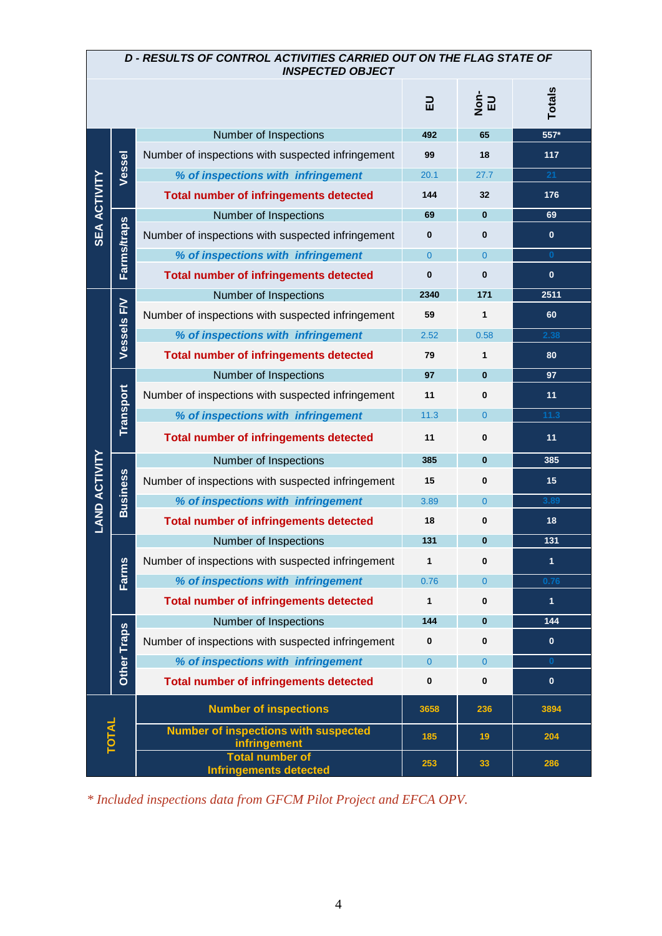| <b>D-RESULTS OF CONTROL ACTIVITIES CARRIED OUT ON THE FLAG STATE OF</b><br><b>INSPECTED OBJECT</b> |                    |                                                                    |                |                             |               |  |
|----------------------------------------------------------------------------------------------------|--------------------|--------------------------------------------------------------------|----------------|-----------------------------|---------------|--|
|                                                                                                    |                    |                                                                    | 品              | $\frac{1}{2}$ $\frac{1}{2}$ | <b>Totals</b> |  |
|                                                                                                    |                    | Number of Inspections                                              | 492            | 65                          | 557*          |  |
|                                                                                                    | Vessel             | Number of inspections with suspected infringement                  | 99             | 18                          | 117           |  |
| <b>SEA ACTIVITY</b>                                                                                |                    | % of inspections with infringement                                 | 20.1           | 27.7                        | 21            |  |
|                                                                                                    |                    | <b>Total number of infringements detected</b>                      | 144            | 32                          | 176           |  |
|                                                                                                    |                    | Number of Inspections                                              | 69             | $\bf{0}$                    | 69            |  |
|                                                                                                    | Farms/traps        | Number of inspections with suspected infringement                  | $\bf{0}$       | $\bf{0}$                    | $\mathbf{0}$  |  |
|                                                                                                    |                    | % of inspections with infringement                                 | $\overline{0}$ | $\overline{0}$              | $\mathbf{0}$  |  |
|                                                                                                    |                    | <b>Total number of infringements detected</b>                      | $\bf{0}$       | $\bf{0}$                    | $\mathbf{0}$  |  |
|                                                                                                    |                    | Number of Inspections                                              | 2340           | 171                         | 2511          |  |
|                                                                                                    | Vessels FV         | Number of inspections with suspected infringement                  | 59             | $\mathbf{1}$                | 60            |  |
|                                                                                                    |                    | % of inspections with infringement                                 | 2.52           | 0.58                        | 2.38          |  |
|                                                                                                    |                    | <b>Total number of infringements detected</b>                      | 79             | 1                           | 80            |  |
|                                                                                                    |                    | Number of Inspections                                              | 97             | $\bf{0}$                    | 97            |  |
|                                                                                                    | Transport          | Number of inspections with suspected infringement                  | 11             | $\bf{0}$                    | 11            |  |
|                                                                                                    |                    | % of inspections with infringement                                 | 11.3           | $\overline{0}$              | 11.3          |  |
|                                                                                                    |                    | <b>Total number of infringements detected</b>                      | 11             | 0                           | 11            |  |
|                                                                                                    | <b>Business</b>    | Number of Inspections                                              | 385            | $\bf{0}$                    | 385           |  |
| <b>LAND ACTIVITY</b>                                                                               |                    | Number of inspections with suspected infringement                  | 15             | $\bf{0}$                    | 15            |  |
|                                                                                                    |                    | % of inspections with infringement                                 | 3.89           | $\overline{0}$              | 3.89          |  |
|                                                                                                    |                    | <b>Total number of infringements detected</b>                      | 18             | $\bf{0}$                    | 18            |  |
|                                                                                                    |                    | Number of Inspections                                              | 131            | $\bf{0}$                    | 131           |  |
|                                                                                                    | Farms              | Number of inspections with suspected infringement                  | 1              | $\bf{0}$                    | $\mathbf{1}$  |  |
|                                                                                                    |                    | % of inspections with infringement                                 | 0.76           | $\overline{0}$              | 0.76          |  |
|                                                                                                    |                    | <b>Total number of infringements detected</b>                      | 1              | $\bf{0}$                    | $\mathbf{1}$  |  |
|                                                                                                    | <b>Other Traps</b> | Number of Inspections                                              | 144            | $\bf{0}$                    | 144           |  |
|                                                                                                    |                    | Number of inspections with suspected infringement                  | $\bf{0}$       | $\bf{0}$                    | $\bf{0}$      |  |
|                                                                                                    |                    | % of inspections with infringement                                 | $\overline{0}$ | $\overline{0}$              | $\bf{0}$      |  |
|                                                                                                    |                    | <b>Total number of infringements detected</b>                      | $\bf{0}$       | $\bf{0}$                    | $\bf{0}$      |  |
|                                                                                                    |                    | <b>Number of inspections</b>                                       | 3658           | 236                         | 3894          |  |
| <b>TOTAL</b>                                                                                       |                    | <b>Number of inspections with suspected</b><br><i>infringement</i> | 185            | 19                          | 204           |  |
|                                                                                                    |                    | <b>Total number of</b><br><b>Infringements detected</b>            | 253            | 33                          | 286           |  |

*\* Included inspections data from GFCM Pilot Project and EFCA OPV.*